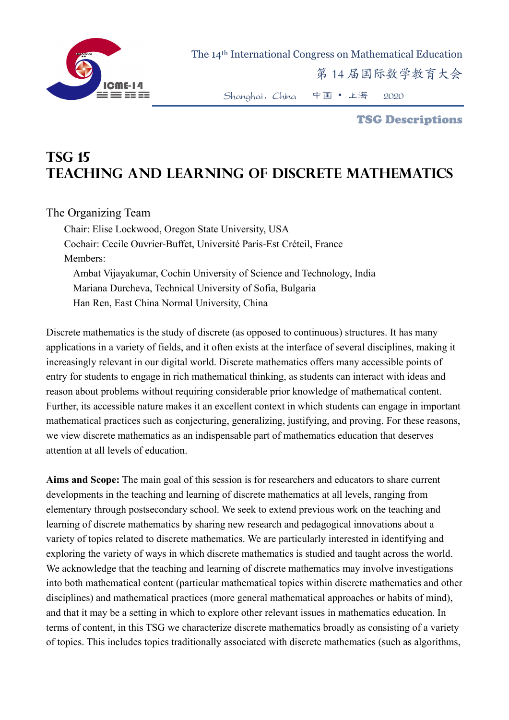

The 14th International Congress on Mathematical Education

第 14 届国际数学教育大会

Shanghai,China 中国 • 上海 2020

TSG Descriptions

## **TSG 15 Teaching and Learning of Discrete Mathematics**

## The Organizing Team

Chair: Elise Lockwood, Oregon State University, USA Cochair: Cecile Ouvrier-Buffet, Université Paris-Est Créteil, France Members: Ambat Vijayakumar, Cochin University of Science and Technology, India Mariana Durcheva, Technical University of Sofia, Bulgaria Han Ren, East China Normal University, China

Discrete mathematics is the study of discrete (as opposed to continuous) structures. It has many applications in a variety of fields, and it often exists at the interface of several disciplines, making it increasingly relevant in our digital world. Discrete mathematics offers many accessible points of entry for students to engage in rich mathematical thinking, as students can interact with ideas and reason about problems without requiring considerable prior knowledge of mathematical content. Further, its accessible nature makes it an excellent context in which students can engage in important mathematical practices such as conjecturing, generalizing, justifying, and proving. For these reasons, we view discrete mathematics as an indispensable part of mathematics education that deserves attention at all levels of education.

**Aims and Scope:** The main goal of this session is for researchers and educators to share current developments in the teaching and learning of discrete mathematics at all levels, ranging from elementary through postsecondary school. We seek to extend previous work on the teaching and learning of discrete mathematics by sharing new research and pedagogical innovations about a variety of topics related to discrete mathematics. We are particularly interested in identifying and exploring the variety of ways in which discrete mathematics is studied and taught across the world. We acknowledge that the teaching and learning of discrete mathematics may involve investigations into both mathematical content (particular mathematical topics within discrete mathematics and other disciplines) and mathematical practices (more general mathematical approaches or habits of mind), and that it may be a setting in which to explore other relevant issues in mathematics education. In terms of content, in this TSG we characterize discrete mathematics broadly as consisting of a variety of topics. This includes topics traditionally associated with discrete mathematics (such as algorithms,